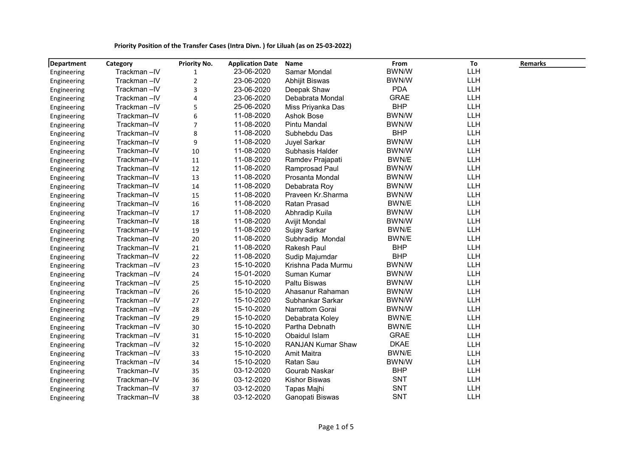|  |  | Priority Position of the Transfer Cases (Intra Divn.) for Liluah (as on 25-03-2022) |
|--|--|-------------------------------------------------------------------------------------|
|--|--|-------------------------------------------------------------------------------------|

| <b>Department</b> | Category    | <b>Priority No.</b> | <b>Application Date</b> | <b>Name</b>              | From         | To         | Remarks |
|-------------------|-------------|---------------------|-------------------------|--------------------------|--------------|------------|---------|
| Engineering       | Trackman-IV | 1                   | 23-06-2020              | Samar Mondal             | <b>BWN/W</b> | LLH        |         |
| Engineering       | Trackman-IV | $\sqrt{2}$          | 23-06-2020              | Abhijit Biswas           | <b>BWN/W</b> | LLH        |         |
| Engineering       | Trackman-IV | 3                   | 23-06-2020              | Deepak Shaw              | <b>PDA</b>   | LLH        |         |
| Engineering       | Trackman-IV | 4                   | 23-06-2020              | Debabrata Mondal         | <b>GRAE</b>  | <b>LLH</b> |         |
| Engineering       | Trackman-IV | 5                   | 25-06-2020              | Miss Priyanka Das        | <b>BHP</b>   | <b>LLH</b> |         |
| Engineering       | Trackman-IV | 6                   | 11-08-2020              | <b>Ashok Bose</b>        | <b>BWN/W</b> | <b>LLH</b> |         |
| Engineering       | Trackman-IV | 7                   | 11-08-2020              | Pintu Mandal             | <b>BWN/W</b> | LLH        |         |
| Engineering       | Trackman-IV | 8                   | 11-08-2020              | Subhebdu Das             | <b>BHP</b>   | <b>LLH</b> |         |
| Engineering       | Trackman-IV | 9                   | 11-08-2020              | <b>Juyel Sarkar</b>      | <b>BWN/W</b> | <b>LLH</b> |         |
| Engineering       | Trackman-IV | 10                  | 11-08-2020              | Subhasis Halder          | <b>BWN/W</b> | LLH        |         |
| Engineering       | Trackman-IV | 11                  | 11-08-2020              | Ramdev Prajapati         | BWN/E        | <b>LLH</b> |         |
| Engineering       | Trackman-IV | 12                  | 11-08-2020              | Ramprosad Paul           | <b>BWN/W</b> | <b>LLH</b> |         |
| Engineering       | Trackman-IV | 13                  | 11-08-2020              | Prosanta Mondal          | <b>BWN/W</b> | <b>LLH</b> |         |
| Engineering       | Trackman-IV | 14                  | 11-08-2020              | Debabrata Roy            | <b>BWN/W</b> | LLH        |         |
| Engineering       | Trackman-IV | 15                  | 11-08-2020              | Praveen Kr.Sharma        | <b>BWN/W</b> | LLH        |         |
| Engineering       | Trackman-IV | 16                  | 11-08-2020              | Ratan Prasad             | BWN/E        | LLH        |         |
| Engineering       | Trackman-IV | 17                  | 11-08-2020              | Abhradip Kuila           | BWN/W        | LLH        |         |
| Engineering       | Trackman-IV | 18                  | 11-08-2020              | <b>Avijit Mondal</b>     | <b>BWN/W</b> | LLH        |         |
| Engineering       | Trackman-IV | 19                  | 11-08-2020              | Sujay Sarkar             | BWN/E        | <b>LLH</b> |         |
| Engineering       | Trackman-IV | 20                  | 11-08-2020              | Subhradip Mondal         | BWN/E        | <b>LLH</b> |         |
| Engineering       | Trackman-IV | 21                  | 11-08-2020              | <b>Rakesh Paul</b>       | <b>BHP</b>   | LLH        |         |
| Engineering       | Trackman-IV | 22                  | 11-08-2020              | Sudip Majumdar           | <b>BHP</b>   | <b>LLH</b> |         |
| Engineering       | Trackman-IV | 23                  | 15-10-2020              | Krishna Pada Murmu       | <b>BWN/W</b> | <b>LLH</b> |         |
| Engineering       | Trackman-IV | 24                  | 15-01-2020              | Suman Kumar              | <b>BWN/W</b> | <b>LLH</b> |         |
| Engineering       | Trackman-IV | 25                  | 15-10-2020              | Paltu Biswas             | <b>BWN/W</b> | <b>LLH</b> |         |
| Engineering       | Trackman-IV | 26                  | 15-10-2020              | Ahasanur Rahaman         | <b>BWN/W</b> | <b>LLH</b> |         |
| Engineering       | Trackman-IV | 27                  | 15-10-2020              | Subhankar Sarkar         | <b>BWN/W</b> | <b>LLH</b> |         |
| Engineering       | Trackman-IV | 28                  | 15-10-2020              | Narrattom Gorai          | <b>BWN/W</b> | <b>LLH</b> |         |
| Engineering       | Trackman-IV | 29                  | 15-10-2020              | Debabrata Koley          | BWN/E        | <b>LLH</b> |         |
| Engineering       | Trackman-IV | 30                  | 15-10-2020              | Partha Debnath           | BWN/E        | LLH        |         |
| Engineering       | Trackman-IV | 31                  | 15-10-2020              | Obaidul Islam            | <b>GRAE</b>  | LLH        |         |
| Engineering       | Trackman-IV | 32                  | 15-10-2020              | <b>RANJAN Kumar Shaw</b> | <b>DKAE</b>  | LLH        |         |
| Engineering       | Trackman-IV | 33                  | 15-10-2020              | <b>Amit Maitra</b>       | BWN/E        | LLH        |         |
| Engineering       | Trackman-IV | 34                  | 15-10-2020              | Ratan Sau                | <b>BWN/W</b> | LLH        |         |
| Engineering       | Trackman-IV | 35                  | 03-12-2020              | Gourab Naskar            | <b>BHP</b>   | LLH        |         |
| Engineering       | Trackman-IV | 36                  | 03-12-2020              | <b>Kishor Biswas</b>     | <b>SNT</b>   | <b>LLH</b> |         |
| Engineering       | Trackman-IV | 37                  | 03-12-2020              | Tapas Majhi              | <b>SNT</b>   | LLH        |         |
| Engineering       | Trackman-IV | 38                  | 03-12-2020              | Ganopati Biswas          | <b>SNT</b>   | LLH        |         |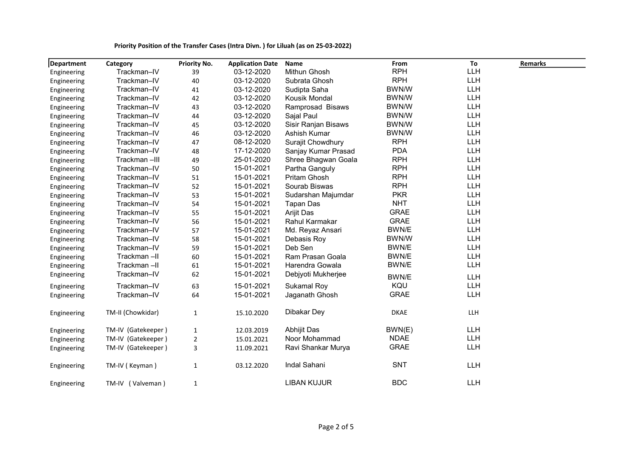| Department  | Category           | <b>Priority No.</b> | <b>Application Date</b> | Name                | From        | To         | <b>Remarks</b> |
|-------------|--------------------|---------------------|-------------------------|---------------------|-------------|------------|----------------|
| Engineering | Trackman-IV        | 39                  | 03-12-2020              | Mithun Ghosh        | <b>RPH</b>  | <b>LLH</b> |                |
| Engineering | Trackman-IV        | 40                  | 03-12-2020              | Subrata Ghosh       | <b>RPH</b>  | LLH        |                |
| Engineering | Trackman-IV        | 41                  | 03-12-2020              | Sudipta Saha        | BWN/W       | LLH        |                |
| Engineering | Trackman-IV        | 42                  | 03-12-2020              | Kousik Mondal       | BWN/W       | LLH        |                |
| Engineering | Trackman-IV        | 43                  | 03-12-2020              | Ramprosad Bisaws    | BWN/W       | LLH        |                |
| Engineering | Trackman-IV        | 44                  | 03-12-2020              | Sajal Paul          | BWN/W       | LLH        |                |
| Engineering | Trackman-IV        | 45                  | 03-12-2020              | Sisir Ranjan Bisaws | BWN/W       | LLH        |                |
| Engineering | Trackman-IV        | 46                  | 03-12-2020              | Ashish Kumar        | BWN/W       | <b>LLH</b> |                |
| Engineering | Trackman-IV        | 47                  | 08-12-2020              | Surajit Chowdhury   | <b>RPH</b>  | LLH        |                |
| Engineering | Trackman-IV        | 48                  | 17-12-2020              | Sanjay Kumar Prasad | <b>PDA</b>  | <b>LLH</b> |                |
| Engineering | Trackman-III       | 49                  | 25-01-2020              | Shree Bhagwan Goala | <b>RPH</b>  | <b>LLH</b> |                |
| Engineering | Trackman-IV        | 50                  | 15-01-2021              | Partha Ganguly      | <b>RPH</b>  | <b>LLH</b> |                |
| Engineering | Trackman-IV        | 51                  | 15-01-2021              | Pritam Ghosh        | <b>RPH</b>  | LLH        |                |
| Engineering | Trackman-IV        | 52                  | 15-01-2021              | Sourab Biswas       | <b>RPH</b>  | <b>LLH</b> |                |
| Engineering | Trackman-IV        | 53                  | 15-01-2021              | Sudarshan Majumdar  | <b>PKR</b>  | LLH        |                |
| Engineering | Trackman-IV        | 54                  | 15-01-2021              | <b>Tapan Das</b>    | <b>NHT</b>  | LLH        |                |
| Engineering | Trackman-IV        | 55                  | 15-01-2021              | Arijit Das          | <b>GRAE</b> | LLH        |                |
| Engineering | Trackman-IV        | 56                  | 15-01-2021              | Rahul Karmakar      | <b>GRAE</b> | <b>LLH</b> |                |
| Engineering | Trackman-IV        | 57                  | 15-01-2021              | Md. Reyaz Ansari    | BWN/E       | LLH        |                |
| Engineering | Trackman-IV        | 58                  | 15-01-2021              | Debasis Roy         | BWN/W       | <b>LLH</b> |                |
| Engineering | Trackman-IV        | 59                  | 15-01-2021              | Deb Sen             | BWN/E       | <b>LLH</b> |                |
| Engineering | Trackman-II        | 60                  | 15-01-2021              | Ram Prasan Goala    | BWN/E       | LLH        |                |
| Engineering | Trackman-II        | 61                  | 15-01-2021              | Harendra Gowala     | BWN/E       | <b>LLH</b> |                |
| Engineering | Trackman-IV        | 62                  | 15-01-2021              | Debjyoti Mukherjee  | BWN/E       | LLH        |                |
| Engineering | Trackman-IV        | 63                  | 15-01-2021              | Sukamal Roy         | KQU         | <b>LLH</b> |                |
| Engineering | Trackman-IV        | 64                  | 15-01-2021              | Jaganath Ghosh      | <b>GRAE</b> | <b>LLH</b> |                |
| Engineering | TM-II (Chowkidar)  | $\mathbf 1$         | 15.10.2020              | Dibakar Dey         | <b>DKAE</b> | <b>LLH</b> |                |
| Engineering | TM-IV (Gatekeeper) | $\mathbf{1}$        | 12.03.2019              | Abhijit Das         | BWN(E)      | <b>LLH</b> |                |
| Engineering | TM-IV (Gatekeeper) | 2                   | 15.01.2021              | Noor Mohammad       | <b>NDAE</b> | <b>LLH</b> |                |
| Engineering | TM-IV (Gatekeeper) | 3                   | 11.09.2021              | Ravi Shankar Murya  | <b>GRAE</b> | <b>LLH</b> |                |
| Engineering | TM-IV (Keyman)     | 1                   | 03.12.2020              | Indal Sahani        | <b>SNT</b>  | <b>LLH</b> |                |
| Engineering | TM-IV (Valveman)   | $\mathbf 1$         |                         | <b>LIBAN KUJUR</b>  | <b>BDC</b>  | <b>LLH</b> |                |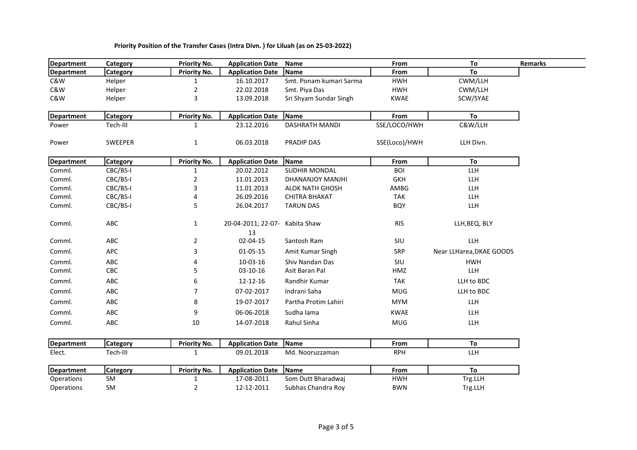| <b>Department</b> | Category        | <b>Priority No.</b> | <b>Application Date</b>  | Name                    | From          | To                       |
|-------------------|-----------------|---------------------|--------------------------|-------------------------|---------------|--------------------------|
| <b>Department</b> | <b>Category</b> | <b>Priority No.</b> | <b>Application Date</b>  | Name                    | From          | To                       |
| C&W               | Helper          | 1                   | 16.10.2017               | Smt. Ponam kumari Sarma | <b>HWH</b>    | CWM/LLH                  |
| C&W               | Helper          | 2                   | 22.02.2018               | Smt. Piya Das           | <b>HWH</b>    | CWM/LLH                  |
| C&W               | Helper          | 3                   | 13.09.2018               | Sri Shyam Sundar Singh  | <b>KWAE</b>   | SCW/SYAE                 |
| <b>Department</b> | <b>Category</b> | <b>Priority No.</b> | <b>Application Date</b>  | Name                    | From          | To                       |
| Power             | Tech-III        | 1                   | 23.12.2016               | <b>DASHRATH MANDI</b>   | SSE/LOCO/HWH  | C&W/LLH                  |
| Power             | SWEEPER         | $\mathbf{1}$        | 06.03.2018               | PRADIP DAS              | SSE(Loco)/HWH | LLH Divn.                |
| <b>Department</b> | <b>Category</b> | <b>Priority No.</b> | <b>Application Date</b>  | Name                    | From          | To                       |
| Comml.            | CBC/BS-I        | 1                   | 20.02.2012               | SUDHIR MONDAL           | <b>BOI</b>    | LLH                      |
| Comml.            | CBC/BS-I        | $\overline{2}$      | 11.01.2013               | DHANANJOY MANJHI        | <b>GKH</b>    | LLH                      |
| Comml.            | CBC/BS-I        | 3                   | 11.01.2013               | <b>ALOK NATH GHOSH</b>  | AMBG          | LLH                      |
| Comml.            | CBC/BS-I        | 4                   | 26.09.2016               | <b>CHITRA BHAKAT</b>    | <b>TAK</b>    | LLH                      |
| Comml.            | CBC/BS-I        | 5                   | 26.04.2017               | <b>TARUN DAS</b>        | <b>BQY</b>    | LLH                      |
| Comml.            | ABC             | $\mathbf{1}$        | 20-04-2011; 22-07-<br>13 | Kabita Shaw             | <b>RIS</b>    | LLH, BEQ, BLY            |
| Comml.            | ABC             | $\overline{2}$      | 02-04-15                 | Santosh Ram             | SIU           | <b>LLH</b>               |
| Comml.            | APC             | 3                   | $01 - 05 - 15$           | Amit Kumar Singh        | SRP           | Near LLHarea, DKAE GOODS |
| Comml.            | ABC             | 4                   | 10-03-16                 | Shiv Nandan Das         | SIU           | <b>HWH</b>               |
| Comml.            | CBC             | 5                   | $03 - 10 - 16$           | Asit Baran Pal          | HMZ           | LLH                      |
| Comml.            | ABC             | 6                   | 12-12-16                 | Randhir Kumar           | <b>TAK</b>    | LLH to BDC               |
| Comml.            | ABC             | 7                   | 07-02-2017               | Indrani Saha            | <b>MUG</b>    | LLH to BDC               |
| Comml.            | ABC             | 8                   | 19-07-2017               | Partha Protim Lahiri    | <b>MYM</b>    | LLH                      |
| Comml.            | ABC             | 9                   | 06-06-2018               | Sudha lama              | <b>KWAE</b>   | <b>LLH</b>               |
| Comml.            | ABC             | 10                  | 14-07-2018               | Rahul Sinha             | <b>MUG</b>    | <b>LLH</b>               |
| <b>Department</b> | <b>Category</b> | <b>Priority No.</b> | <b>Application Date</b>  | Name                    | From          | To                       |
| Elect.            | Tech-III        | $\mathbf{1}$        | 09.01.2018               | Md. Nooruzzaman         | <b>RPH</b>    | <b>LLH</b>               |
| <b>Department</b> | <b>Category</b> | <b>Priority No.</b> | <b>Application Date</b>  | Name                    | From          | To                       |
| Operations        | SM              | $\mathbf{1}$        | 17-08-2011               | Som Dutt Bharadwaj      | <b>HWH</b>    | Trg.LLH                  |
| Operations        | SM              | $\overline{2}$      | 12-12-2011               | Subhas Chandra Roy      | <b>BWN</b>    | Trg.LLH                  |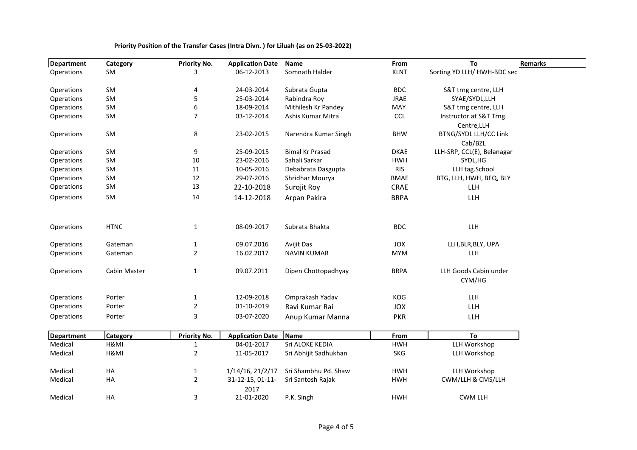| <b>Department</b>            | Category                | <b>Priority No.</b> | <b>Application Date</b> | Name                   | From        | To                                    |
|------------------------------|-------------------------|---------------------|-------------------------|------------------------|-------------|---------------------------------------|
| Operations                   | SM                      | 3                   | 06-12-2013              | Somnath Halder         | <b>KLNT</b> | Sorting YD LLH/HWH-BDC sec            |
| Operations                   | SM                      | 4                   | 24-03-2014              | Subrata Gupta          | <b>BDC</b>  | S&T trng centre, LLH                  |
| Operations                   | SM                      | 5                   | 25-03-2014              | Rabindra Roy           | <b>JRAE</b> | SYAE/SYDL,LLH                         |
| Operations                   | SM                      | 6                   | 18-09-2014              | Mithilesh Kr Pandey    | MAY         | S&T trng centre, LLH                  |
| Operations                   | SM                      | 7                   | 03-12-2014              | Ashis Kumar Mitra      | <b>CCL</b>  | Instructor at S&T Trng.               |
|                              |                         |                     |                         |                        |             | Centre, LLH                           |
| Operations                   | SM                      | 8                   | 23-02-2015              | Narendra Kumar Singh   | <b>BHW</b>  | <b>BTNG/SYDL LLH/CC Link</b>          |
| Operations                   | SM                      | 9                   | 25-09-2015              | <b>Bimal Kr Prasad</b> | <b>DKAE</b> | Cab/BZL<br>LLH-SRP, CCL(E), Belanagar |
| Operations                   | SM                      | 10                  | 23-02-2016              | Sahali Sarkar          | <b>HWH</b>  | SYDL, HG                              |
| Operations                   | SM                      | 11                  | 10-05-2016              | Debabrata Dasgupta     | <b>RIS</b>  | LLH tag.School                        |
| Operations                   | SM                      | 12                  | 29-07-2016              | Shridhar Mourya        | <b>BMAE</b> | BTG, LLH, HWH, BEQ, BLY               |
| Operations                   | SM                      | 13                  | 22-10-2018              | Surojit Roy            | CRAE        | LLH                                   |
| Operations                   | SM                      | 14                  | 14-12-2018              | Arpan Pakira           | <b>BRPA</b> | <b>LLH</b>                            |
| Operations                   | <b>HTNC</b>             | 1                   | 08-09-2017              | Subrata Bhakta         | <b>BDC</b>  | <b>LLH</b>                            |
|                              |                         |                     |                         |                        |             |                                       |
| Operations                   | Gateman                 | $\mathbf{1}$        | 09.07.2016              | Avijit Das             | JOX         | LLH, BLR, BLY, UPA                    |
| Operations                   | Gateman                 | $\overline{2}$      | 16.02.2017              | <b>NAVIN KUMAR</b>     | <b>MYM</b>  | LLH                                   |
| Operations                   | Cabin Master            | $\mathbf{1}$        | 09.07.2011              | Dipen Chottopadhyay    | <b>BRPA</b> | LLH Goods Cabin under                 |
|                              |                         |                     |                         |                        |             | CYM/HG                                |
| Operations                   | Porter                  | $\mathbf{1}$        | 12-09-2018              | Omprakash Yadav        | KOG         | <b>LLH</b>                            |
| Operations                   | Porter                  | $\overline{2}$      | 01-10-2019              | Ravi Kumar Rai         | <b>JOX</b>  | LLH                                   |
| Operations                   | Porter                  | 3                   | 03-07-2020              | Anup Kumar Manna       | <b>PKR</b>  | <b>LLH</b>                            |
|                              |                         |                     |                         | Name                   |             | To                                    |
| <b>Department</b><br>Medical | <b>Category</b><br>H&MI | <b>Priority No.</b> | <b>Application Date</b> | Sri ALOKE KEDIA        | From        |                                       |
|                              |                         | 1                   | 04-01-2017              |                        | <b>HWH</b>  | LLH Workshop                          |
| Medical                      | H&MI                    | $\overline{2}$      | 11-05-2017              | Sri Abhijit Sadhukhan  | <b>SKG</b>  | LLH Workshop                          |
| Medical                      | HA                      | 1                   | 1/14/16, 21/2/17        | Sri Shambhu Pd. Shaw   | <b>HWH</b>  | LLH Workshop                          |
| Medical                      | HA                      | $\overline{2}$      | 31-12-15, 01-11-        | Sri Santosh Rajak      | <b>HWH</b>  | CWM/LLH & CMS/LLH                     |
| Medical                      | HA                      | 3                   | 2017<br>21-01-2020      | P.K. Singh             | <b>HWH</b>  | <b>CWM LLH</b>                        |